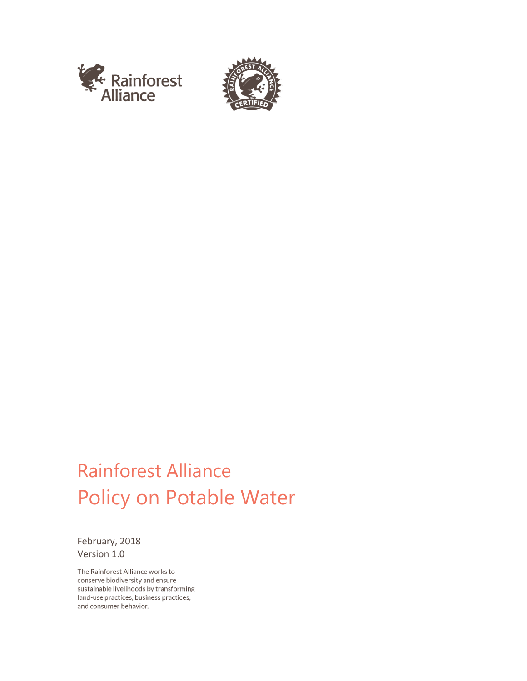



# Rainforest Alliance Policy on Potable Water

February, 2018 Version 1.0

The Rainforest Alliance works to conserve biodiversity and ensure sustainable livelihoods by transforming land-use practices, business practices, and consumer behavior.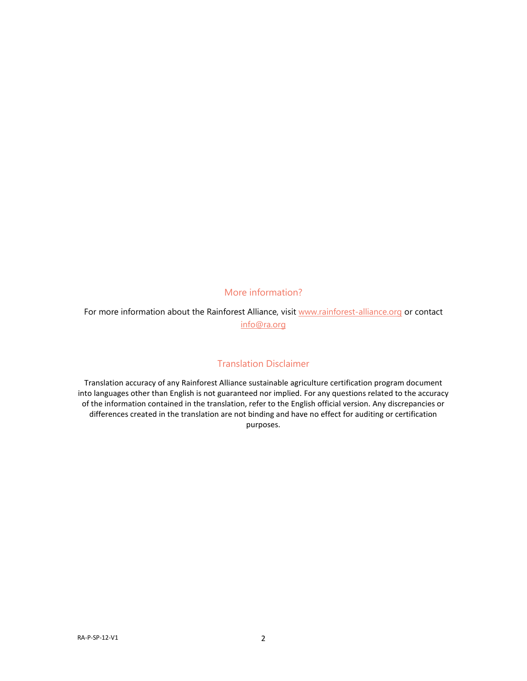## More information?

For more information about the Rainforest Alliance, visit [www.rainforest-alliance.org](http://www.rainforest-alliance.org/) or contact [info@ra.org](mailto:info@ra.org)

## Translation Disclaimer

Translation accuracy of any Rainforest Alliance sustainable agriculture certification program document into languages other than English is not guaranteed nor implied. For any questions related to the accuracy of the information contained in the translation, refer to the English official version. Any discrepancies or differences created in the translation are not binding and have no effect for auditing or certification purposes.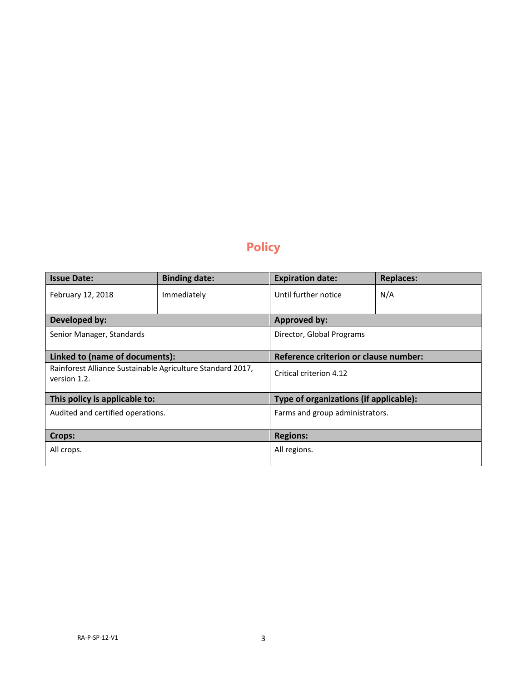# **Policy**

| <b>Issue Date:</b>                                                         | <b>Binding date:</b> | <b>Expiration date:</b>                | <b>Replaces:</b> |
|----------------------------------------------------------------------------|----------------------|----------------------------------------|------------------|
| February 12, 2018                                                          | Immediately          | Until further notice                   | N/A              |
| Developed by:                                                              |                      | <b>Approved by:</b>                    |                  |
| Senior Manager, Standards                                                  |                      | Director, Global Programs              |                  |
| Linked to (name of documents):                                             |                      | Reference criterion or clause number:  |                  |
| Rainforest Alliance Sustainable Agriculture Standard 2017,<br>version 1.2. |                      | Critical criterion 4.12                |                  |
| This policy is applicable to:                                              |                      | Type of organizations (if applicable): |                  |
| Audited and certified operations.                                          |                      | Farms and group administrators.        |                  |
| Crops:                                                                     |                      | <b>Regions:</b>                        |                  |
| All crops.                                                                 |                      | All regions.                           |                  |